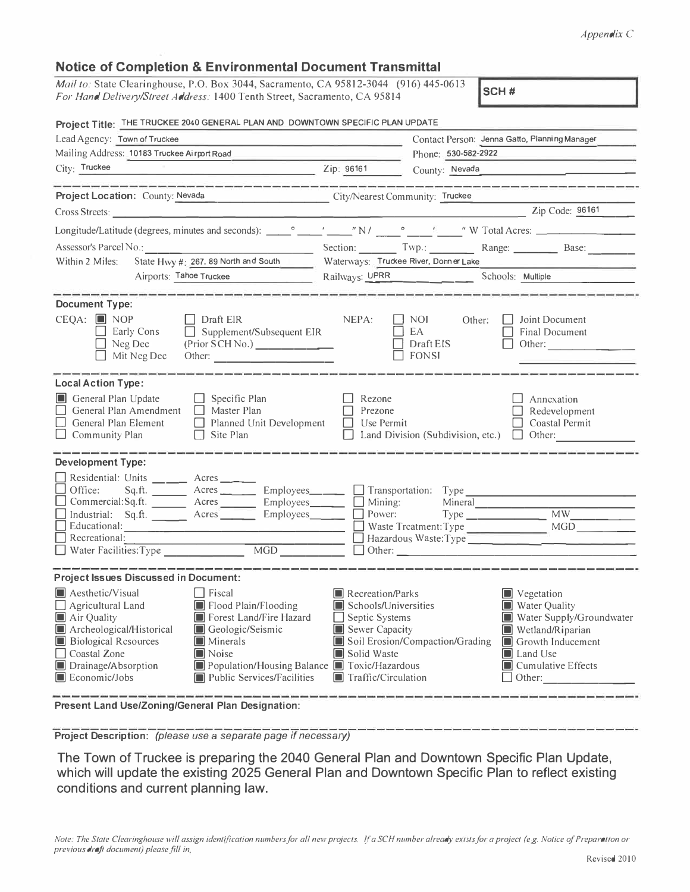## *Appendix* C

| <b>Notice of Completion &amp; Environmental Document Transmittal</b>                                                                                                                                                                                                                                                                                                                                                                                                                                                                                    |                                                                                                                                                                                                                                                                                                                                                                                             |  |  |  |  |  |
|---------------------------------------------------------------------------------------------------------------------------------------------------------------------------------------------------------------------------------------------------------------------------------------------------------------------------------------------------------------------------------------------------------------------------------------------------------------------------------------------------------------------------------------------------------|---------------------------------------------------------------------------------------------------------------------------------------------------------------------------------------------------------------------------------------------------------------------------------------------------------------------------------------------------------------------------------------------|--|--|--|--|--|
| Mail to: State Clearinghouse, P.O. Box 3044, Sacramento, CA 95812-3044 (916) 445-0613<br>For Hand Delivery/Street Address: 1400 Tenth Street, Sacramento, CA 95814                                                                                                                                                                                                                                                                                                                                                                                      | SCH#                                                                                                                                                                                                                                                                                                                                                                                        |  |  |  |  |  |
| Project Title: THE TRUCKEE 2040 GENERAL PLAN AND DOWNTOWN SPECIFIC PLAN UPDATE                                                                                                                                                                                                                                                                                                                                                                                                                                                                          |                                                                                                                                                                                                                                                                                                                                                                                             |  |  |  |  |  |
| Lead Agency: Town of Truckee                                                                                                                                                                                                                                                                                                                                                                                                                                                                                                                            | Contact Person: Jenna Gatto, Pianning Manager                                                                                                                                                                                                                                                                                                                                               |  |  |  |  |  |
| Mailing Address: 10183 Truckee Airport Road                                                                                                                                                                                                                                                                                                                                                                                                                                                                                                             | Phone: 530-582-2922                                                                                                                                                                                                                                                                                                                                                                         |  |  |  |  |  |
| City: Truckee Zip: 96161                                                                                                                                                                                                                                                                                                                                                                                                                                                                                                                                | County: Nevada                                                                                                                                                                                                                                                                                                                                                                              |  |  |  |  |  |
|                                                                                                                                                                                                                                                                                                                                                                                                                                                                                                                                                         |                                                                                                                                                                                                                                                                                                                                                                                             |  |  |  |  |  |
| Project Location: County: Nevada                                                                                                                                                                                                                                                                                                                                                                                                                                                                                                                        | City/Nearest Community: Truckee                                                                                                                                                                                                                                                                                                                                                             |  |  |  |  |  |
| Cross Streets:                                                                                                                                                                                                                                                                                                                                                                                                                                                                                                                                          | Zip Code: 96161                                                                                                                                                                                                                                                                                                                                                                             |  |  |  |  |  |
|                                                                                                                                                                                                                                                                                                                                                                                                                                                                                                                                                         |                                                                                                                                                                                                                                                                                                                                                                                             |  |  |  |  |  |
|                                                                                                                                                                                                                                                                                                                                                                                                                                                                                                                                                         | Assessor's Parcel No.: Base: Base: Base: Base: Base: Base: Base: Base: Base: Base: Base: Base: Base: Base: Base: Base: Base: Base: Base: Base: Base: Base: Base: Base: Base: Base: Base: Base: Base: Base: Base: Base: Base: B                                                                                                                                                              |  |  |  |  |  |
| State Hwy #: 267, 89 North and South<br>Within 2 Miles:                                                                                                                                                                                                                                                                                                                                                                                                                                                                                                 | Waterways: Truckee River, Donner Lake                                                                                                                                                                                                                                                                                                                                                       |  |  |  |  |  |
| Airports: Tahoe Truckee                                                                                                                                                                                                                                                                                                                                                                                                                                                                                                                                 | Railways: UPRR<br>Schools: Multiple                                                                                                                                                                                                                                                                                                                                                         |  |  |  |  |  |
| $CEQA: \blacksquare \text{ NOP}$<br>$\Box$ Draft ElR<br>$\Box$ Supplement/Subsequent EIR<br>Early Cons<br>(Prior SCH No.)<br>$\Box$ Neg Dec<br>$\Box$ Mit Neg Dec<br>Other:<br><b>Local Action Type:</b><br>General Plan Update<br>$\Box$ Specific Plan<br>$\Box$ General Plan Amendment<br>$\Box$ Master Plan<br>$\Box$ General Plan Element<br>Planned Unit Development<br>$\Box$ Site Plan<br>$\Box$ Community Plan                                                                                                                                  | NEPA:<br>$\overline{\phantom{a}}$ NOI<br>Joint Document<br>Other:<br>EA<br>Final Document<br>$\Box$ Draft EIS<br>Other: $\qquad \qquad \qquad$<br>$\Box$ fonsi<br>Rezone<br>Annexation<br>Prezone<br>Redevelopment<br>Use Permit<br>Coastal Permit<br>Land Division (Subdivision, etc.)<br>$\Box$ Other:                                                                                    |  |  |  |  |  |
| <b>Development Type:</b><br>Residential: Units _____ Acres ____<br>$\Box$ Office:<br>Sq.ft. ________ Acres __________ Employees_______<br>□ Commercial:Sq.ft. _______ Acres ________ Employees _______ □ Mining:<br>Industrial: Sq.ft. _______ Acres _______<br>Educational: New York Changes and School and School and School and School and School and School and School and School and School and School and School and School and School and School and School and School and School and S<br>$\Box$ Recreational:<br>MGD<br>Water Facilities: Type | Transportation: Type<br>MW<br>$Employes$ <sub>______</sub><br>Power:<br>MGD<br>Waste Treatment: Type<br>Hazardous Waste: Type<br>$\Box$ Other: $\_\_$                                                                                                                                                                                                                                       |  |  |  |  |  |
| <b>Project Issues Discussed in Document:</b>                                                                                                                                                                                                                                                                                                                                                                                                                                                                                                            |                                                                                                                                                                                                                                                                                                                                                                                             |  |  |  |  |  |
| Aesthetic/Visual<br>Fiscal<br>Flood Plain/Flooding<br>Agricultural Land<br>IT<br>Forest Land/Fire Hazard<br>$\blacksquare$ Air Quality<br>Archeological/Historical<br>$\Box$<br>Geologic/Seismic<br><b>Biological Resources</b><br>Minerals<br>$\Box$<br>Coastal Zone<br>Noise<br>Iol<br>Drainage/Absorption<br>Economic/Jobs<br><b>Public Services/Facilities</b>                                                                                                                                                                                      | Recreation/Parks<br>Vegetation<br>H<br><b>Schools/Universities</b><br>Water Quality<br>H<br>Water Supply/Groundwater<br>Septic Systems<br>Sewer Capacity<br>Wetland/Riparian<br>L<br>Soil Erosion/Compaction/Grading<br>Growth Inducement<br>Solid Waste<br>Land Use<br>$\Box$<br>Population/Housing Balance ■ Toxic/Hazardous<br>Cumulative Effects<br>Traffic/Circulation<br>Other:<br>IT |  |  |  |  |  |

**Present Land Use/Zoning/General Plan Designation:** 

**Project Description:** *(please use* **a** *separate page if necessary)* 

**The Town of Truckee is preparing the 2040 General Plan and Downtown Specific Plan Update, which will update the existing 2025 General Plan and Downtown Specific Plan to reflect existing conditions and current planning law.**